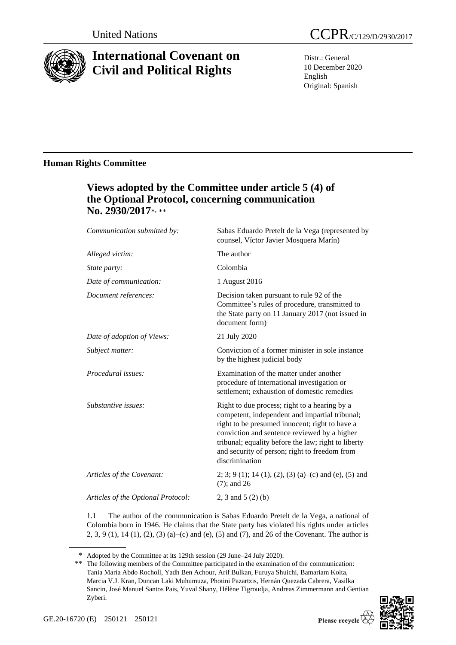

# **International Covenant on Civil and Political Rights**

Distr.: General 10 December 2020 English Original: Spanish

# **Human Rights Committee**

# **Views adopted by the Committee under article 5 (4) of the Optional Protocol, concerning communication No. 2930/2017**\* , \*\*

| Communication submitted by:        | Sabas Eduardo Pretelt de la Vega (represented by<br>counsel, Víctor Javier Mosquera Marín)                                                                                                                                                                                                                                  |
|------------------------------------|-----------------------------------------------------------------------------------------------------------------------------------------------------------------------------------------------------------------------------------------------------------------------------------------------------------------------------|
| Alleged victim:                    | The author                                                                                                                                                                                                                                                                                                                  |
| State party:                       | Colombia                                                                                                                                                                                                                                                                                                                    |
| Date of communication:             | 1 August 2016                                                                                                                                                                                                                                                                                                               |
| Document references:               | Decision taken pursuant to rule 92 of the<br>Committee's rules of procedure, transmitted to<br>the State party on 11 January 2017 (not issued in<br>document form)                                                                                                                                                          |
| Date of adoption of Views:         | 21 July 2020                                                                                                                                                                                                                                                                                                                |
| Subject matter:                    | Conviction of a former minister in sole instance<br>by the highest judicial body                                                                                                                                                                                                                                            |
| Procedural issues:                 | Examination of the matter under another<br>procedure of international investigation or<br>settlement; exhaustion of domestic remedies                                                                                                                                                                                       |
| Substantive issues:                | Right to due process; right to a hearing by a<br>competent, independent and impartial tribunal;<br>right to be presumed innocent; right to have a<br>conviction and sentence reviewed by a higher<br>tribunal; equality before the law; right to liberty<br>and security of person; right to freedom from<br>discrimination |
| Articles of the Covenant:          | 2; 3; 9 (1); 14 (1), (2), (3) (a)–(c) and (e), (5) and<br>$(7)$ ; and 26                                                                                                                                                                                                                                                    |
| Articles of the Optional Protocol: | 2, 3 and 5 $(2)$ (b)                                                                                                                                                                                                                                                                                                        |
|                                    |                                                                                                                                                                                                                                                                                                                             |

1.1 The author of the communication is Sabas Eduardo Pretelt de la Vega, a national of Colombia born in 1946. He claims that the State party has violated his rights under articles 2, 3, 9 (1), 14 (1), (2), (3) (a)–(c) and (e), (5) and (7), and 26 of the Covenant. The author is

<sup>\*\*</sup> The following members of the Committee participated in the examination of the communication: Tania María Abdo Rocholl, Yadh Ben Achour, Arif Bulkan, Furuya Shuichi, Bamariam Koita, Marcia V.J. Kran, Duncan Laki Muhumuza, Photini Pazartzis, Hernán Quezada Cabrera, Vasilka Sancin, José Manuel Santos Pais, Yuval Shany, Hélène Tigroudja, Andreas Zimmermann and Gentian Zyberi.



<sup>\*</sup> Adopted by the Committee at its 129th session (29 June–24 July 2020).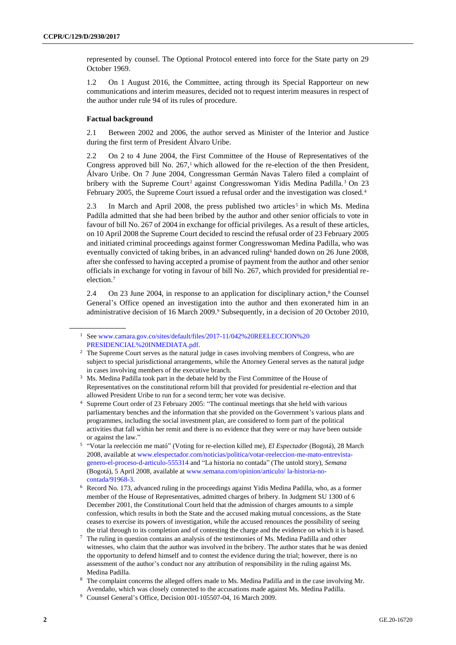represented by counsel. The Optional Protocol entered into force for the State party on 29 October 1969.

1.2 On 1 August 2016, the Committee, acting through its Special Rapporteur on new communications and interim measures, decided not to request interim measures in respect of the author under rule 94 of its rules of procedure.

## **Factual background**

2.1 Between 2002 and 2006, the author served as Minister of the Interior and Justice during the first term of President Álvaro Uribe.

2.2 On 2 to 4 June 2004, the First Committee of the House of Representatives of the Congress approved bill No.  $267<sup>1</sup>$ , which allowed for the re-election of the then President, Álvaro Uribe. On 7 June 2004, Congressman Germán Navas Talero filed a complaint of bribery with the Supreme Court<sup>2</sup> against Congresswoman Yidis Medina Padilla.<sup>3</sup> On 23 February 2005, the Supreme Court issued a refusal order and the investigation was closed.<sup>4</sup>

2.3 In March and April 2008, the press published two articles<sup>5</sup> in which Ms. Medina Padilla admitted that she had been bribed by the author and other senior officials to vote in favour of bill No. 267 of 2004 in exchange for official privileges. As a result of these articles, on 10 April 2008 the Supreme Court decided to rescind the refusal order of 23 February 2005 and initiated criminal proceedings against former Congresswoman Medina Padilla, who was eventually convicted of taking bribes, in an advanced ruling<sup>6</sup> handed down on 26 June 2008, after she confessed to having accepted a promise of payment from the author and other senior officials in exchange for voting in favour of bill No. 267, which provided for presidential reelection.<sup>7</sup>

2.4 On 23 June 2004, in response to an application for disciplinary action,<sup>8</sup> the Counsel General's Office opened an investigation into the author and then exonerated him in an administrative decision of 16 March 2009.<sup>9</sup> Subsequently, in a decision of 20 October 2010,

- 5 "Votar la reelección me mató" (Voting for re-election killed me), *El Espectador* (Bogotá), 28 March 2008, available a[t www.elespectador.com/noticias/politica/votar-reeleccion-me-mato-entrevista](http://www.elespectador.com/noticias/politica/votar-reeleccion-me-mato-entrevista-genero-el-proceso-d-articulo-555314)[genero-el-proceso-d-articulo-555314](http://www.elespectador.com/noticias/politica/votar-reeleccion-me-mato-entrevista-genero-el-proceso-d-articulo-555314) and "La historia no contada" (The untold story), *Semana* (Bogotá), 5 April 2008, available at [www.semana.com/opinion/articulo/](https://www.semana.com/opinion/articulo/) la-historia-nocontada/91968-3.
- <sup>6</sup> Record No. 173, advanced ruling in the proceedings against Yidis Medina Padilla, who, as a former member of the House of Representatives, admitted charges of bribery. In Judgment SU 1300 of 6 December 2001, the Constitutional Court held that the admission of charges amounts to a simple confession, which results in both the State and the accused making mutual concessions, as the State ceases to exercise its powers of investigation, while the accused renounces the possibility of seeing the trial through to its completion and of contesting the charge and the evidence on which it is based.
- <sup>7</sup> The ruling in question contains an analysis of the testimonies of Ms. Medina Padilla and other witnesses, who claim that the author was involved in the bribery. The author states that he was denied the opportunity to defend himself and to contest the evidence during the trial; however, there is no assessment of the author's conduct nor any attribution of responsibility in the ruling against Ms. Medina Padilla.
- The complaint concerns the alleged offers made to Ms. Medina Padilla and in the case involving Mr. Avendaño, which was closely connected to the accusations made against Ms. Medina Padilla.
- <sup>9</sup> Counsel General's Office, Decision 001-105507-04, 16 March 2009.

<sup>&</sup>lt;sup>1</sup> Se[e www.camara.gov.co/sites/default/files/2017-11/042%20REELECCION%20](https://www.camara.gov.co/sites/default/files/2017-11/042%20REELECCION) PRESIDENCIAL%20INMEDIATA.pdf.

<sup>&</sup>lt;sup>2</sup> The Supreme Court serves as the natural judge in cases involving members of Congress, who are subject to special jurisdictional arrangements, while the Attorney General serves as the natural judge in cases involving members of the executive branch.

<sup>&</sup>lt;sup>3</sup> Ms. Medina Padilla took part in the debate held by the First Committee of the House of Representatives on the constitutional reform bill that provided for presidential re-election and that allowed President Uribe to run for a second term; her vote was decisive.

<sup>4</sup> Supreme Court order of 23 February 2005: "The continual meetings that she held with various parliamentary benches and the information that she provided on the Government's various plans and programmes, including the social investment plan, are considered to form part of the political activities that fall within her remit and there is no evidence that they were or may have been outside or against the law."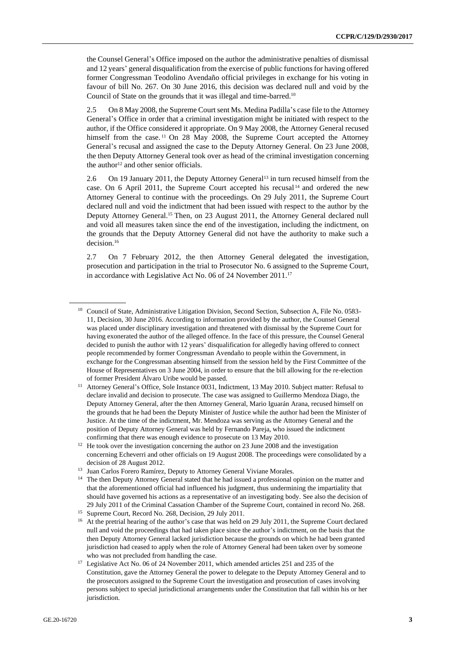the Counsel General's Office imposed on the author the administrative penalties of dismissal and 12 years' general disqualification from the exercise of public functions for having offered former Congressman Teodolino Avendaño official privileges in exchange for his voting in favour of bill No. 267. On 30 June 2016, this decision was declared null and void by the Council of State on the grounds that it was illegal and time-barred.<sup>10</sup>

2.5 On 8 May 2008, the Supreme Court sent Ms. Medina Padilla's case file to the Attorney General's Office in order that a criminal investigation might be initiated with respect to the author, if the Office considered it appropriate. On 9 May 2008, the Attorney General recused himself from the case.<sup>11</sup> On 28 May 2008, the Supreme Court accepted the Attorney General's recusal and assigned the case to the Deputy Attorney General. On 23 June 2008, the then Deputy Attorney General took over as head of the criminal investigation concerning the author<sup>12</sup> and other senior officials.

2.6 On 19 January 2011, the Deputy Attorney General<sup>13</sup> in turn recused himself from the case. On 6 April 2011, the Supreme Court accepted his recusal <sup>14</sup> and ordered the new Attorney General to continue with the proceedings. On 29 July 2011, the Supreme Court declared null and void the indictment that had been issued with respect to the author by the Deputy Attorney General.<sup>15</sup> Then, on 23 August 2011, the Attorney General declared null and void all measures taken since the end of the investigation, including the indictment, on the grounds that the Deputy Attorney General did not have the authority to make such a decision.<sup>16</sup>

2.7 On 7 February 2012, the then Attorney General delegated the investigation, prosecution and participation in the trial to Prosecutor No. 6 assigned to the Supreme Court, in accordance with Legislative Act No. 06 of 24 November 2011.<sup>17</sup>

<sup>&</sup>lt;sup>10</sup> Council of State, Administrative Litigation Division, Second Section, Subsection A, File No. 0583-11, Decision, 30 June 2016. According to information provided by the author, the Counsel General was placed under disciplinary investigation and threatened with dismissal by the Supreme Court for having exonerated the author of the alleged offence. In the face of this pressure, the Counsel General decided to punish the author with 12 years' disqualification for allegedly having offered to connect people recommended by former Congressman Avendaño to people within the Government, in exchange for the Congressman absenting himself from the session held by the First Committee of the House of Representatives on 3 June 2004, in order to ensure that the bill allowing for the re-election of former President Álvaro Uribe would be passed.

<sup>&</sup>lt;sup>11</sup> Attorney General's Office, Sole Instance 0031, Indictment, 13 May 2010. Subject matter: Refusal to declare invalid and decision to prosecute. The case was assigned to Guillermo Mendoza Diago, the Deputy Attorney General, after the then Attorney General, Mario Iguarán Arana, recused himself on the grounds that he had been the Deputy Minister of Justice while the author had been the Minister of Justice. At the time of the indictment, Mr. Mendoza was serving as the Attorney General and the position of Deputy Attorney General was held by Fernando Pareja, who issued the indictment confirming that there was enough evidence to prosecute on 13 May 2010.

<sup>&</sup>lt;sup>12</sup> He took over the investigation concerning the author on 23 June 2008 and the investigation concerning Echeverri and other officials on 19 August 2008. The proceedings were consolidated by a decision of 28 August 2012.

<sup>&</sup>lt;sup>13</sup> Juan Carlos Forero Ramírez, Deputy to Attorney General Viviane Morales.

<sup>&</sup>lt;sup>14</sup> The then Deputy Attorney General stated that he had issued a professional opinion on the matter and that the aforementioned official had influenced his judgment, thus undermining the impartiality that should have governed his actions as a representative of an investigating body. See also the decision of 29 July 2011 of the Criminal Cassation Chamber of the Supreme Court, contained in record No. 268.

<sup>15</sup> Supreme Court, Record No. 268, Decision, 29 July 2011.

<sup>&</sup>lt;sup>16</sup> At the pretrial hearing of the author's case that was held on 29 July 2011, the Supreme Court declared null and void the proceedings that had taken place since the author's indictment, on the basis that the then Deputy Attorney General lacked jurisdiction because the grounds on which he had been granted jurisdiction had ceased to apply when the role of Attorney General had been taken over by someone who was not precluded from handling the case.

<sup>&</sup>lt;sup>17</sup> Legislative Act No. 06 of 24 November 2011, which amended articles 251 and 235 of the Constitution, gave the Attorney General the power to delegate to the Deputy Attorney General and to the prosecutors assigned to the Supreme Court the investigation and prosecution of cases involving persons subject to special jurisdictional arrangements under the Constitution that fall within his or her jurisdiction.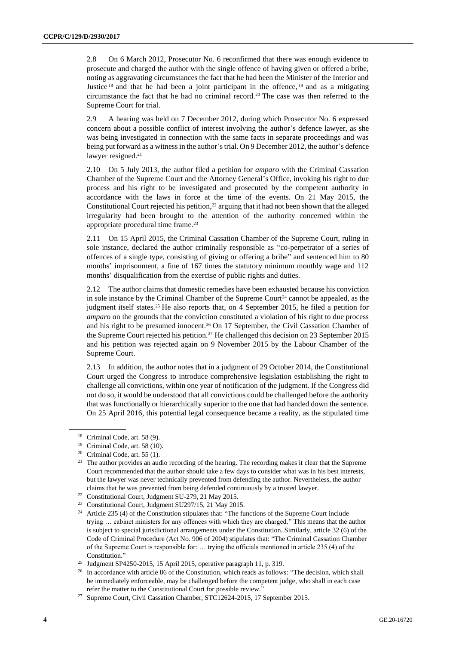2.8 On 6 March 2012, Prosecutor No. 6 reconfirmed that there was enough evidence to prosecute and charged the author with the single offence of having given or offered a bribe, noting as aggravating circumstances the fact that he had been the Minister of the Interior and Justice<sup>18</sup> and that he had been a joint participant in the offence,<sup>19</sup> and as a mitigating circumstance the fact that he had no criminal record.<sup>20</sup> The case was then referred to the Supreme Court for trial.

2.9 A hearing was held on 7 December 2012, during which Prosecutor No. 6 expressed concern about a possible conflict of interest involving the author's defence lawyer, as she was being investigated in connection with the same facts in separate proceedings and was being put forward as a witness in the author's trial. On 9 December 2012, the author's defence lawyer resigned.<sup>21</sup>

2.10 On 5 July 2013, the author filed a petition for *amparo* with the Criminal Cassation Chamber of the Supreme Court and the Attorney General's Office, invoking his right to due process and his right to be investigated and prosecuted by the competent authority in accordance with the laws in force at the time of the events. On 21 May 2015, the Constitutional Court rejected his petition,<sup>22</sup> arguing that it had not been shown that the alleged irregularity had been brought to the attention of the authority concerned within the appropriate procedural time frame.<sup>23</sup>

2.11 On 15 April 2015, the Criminal Cassation Chamber of the Supreme Court, ruling in sole instance, declared the author criminally responsible as "co-perpetrator of a series of offences of a single type, consisting of giving or offering a bribe" and sentenced him to 80 months' imprisonment, a fine of 167 times the statutory minimum monthly wage and 112 months' disqualification from the exercise of public rights and duties.

2.12 The author claims that domestic remedies have been exhausted because his conviction in sole instance by the Criminal Chamber of the Supreme Court<sup>24</sup> cannot be appealed, as the judgment itself states.<sup>25</sup> He also reports that, on 4 September 2015, he filed a petition for *amparo* on the grounds that the conviction constituted a violation of his right to due process and his right to be presumed innocent.<sup>26</sup> On 17 September, the Civil Cassation Chamber of the Supreme Court rejected his petition.<sup>27</sup> He challenged this decision on 23 September 2015 and his petition was rejected again on 9 November 2015 by the Labour Chamber of the Supreme Court.

2.13 In addition, the author notes that in a judgment of 29 October 2014, the Constitutional Court urged the Congress to introduce comprehensive legislation establishing the right to challenge all convictions, within one year of notification of the judgment. If the Congress did not do so, it would be understood that all convictions could be challenged before the authority that was functionally or hierarchically superior to the one that had handed down the sentence. On 25 April 2016, this potential legal consequence became a reality, as the stipulated time

<sup>18</sup> Criminal Code, art. 58 (9).

<sup>19</sup> Criminal Code, art. 58 (10).

 $20$  Criminal Code, art. 55 (1).

<sup>&</sup>lt;sup>21</sup> The author provides an audio recording of the hearing. The recording makes it clear that the Supreme Court recommended that the author should take a few days to consider what was in his best interests, but the lawyer was never technically prevented from defending the author. Nevertheless, the author claims that he was prevented from being defended continuously by a trusted lawyer.

<sup>22</sup> Constitutional Court, Judgment SU-279, 21 May 2015.

<sup>23</sup> Constitutional Court, Judgment SU297/15, 21 May 2015.

<sup>&</sup>lt;sup>24</sup> Article 235 (4) of the Constitution stipulates that: "The functions of the Supreme Court include trying … cabinet ministers for any offences with which they are charged." This means that the author is subject to special jurisdictional arrangements under the Constitution. Similarly, article 32 (6) of the Code of Criminal Procedure (Act No. 906 of 2004) stipulates that: "The Criminal Cassation Chamber of the Supreme Court is responsible for: … trying the officials mentioned in article 235 (4) of the Constitution."

<sup>25</sup> Judgment SP4250-2015, 15 April 2015, operative paragraph 11, p. 319.

<sup>&</sup>lt;sup>26</sup> In accordance with article 86 of the Constitution, which reads as follows: "The decision, which shall be immediately enforceable, may be challenged before the competent judge, who shall in each case refer the matter to the Constitutional Court for possible review."

<sup>27</sup> Supreme Court, Civil Cassation Chamber, STC12624-2015, 17 September 2015.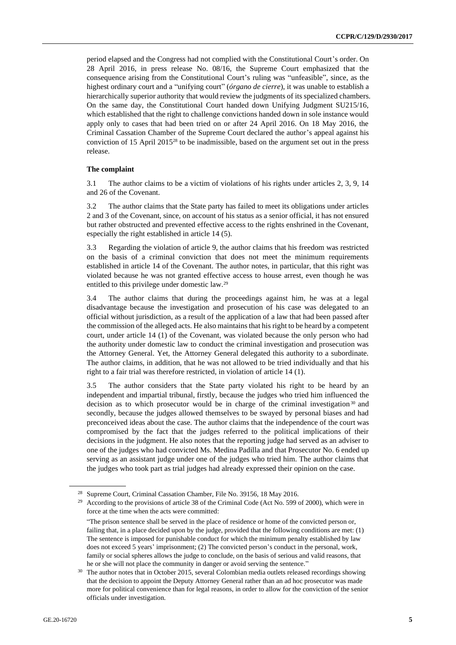period elapsed and the Congress had not complied with the Constitutional Court's order. On 28 April 2016, in press release No. 08/16, the Supreme Court emphasized that the consequence arising from the Constitutional Court's ruling was "unfeasible", since, as the highest ordinary court and a "unifying court" (*órgano de cierre*), it was unable to establish a hierarchically superior authority that would review the judgments of its specialized chambers. On the same day, the Constitutional Court handed down Unifying Judgment SU215/16, which established that the right to challenge convictions handed down in sole instance would apply only to cases that had been tried on or after 24 April 2016. On 18 May 2016, the Criminal Cassation Chamber of the Supreme Court declared the author's appeal against his conviction of 15 April 2015<sup>28</sup> to be inadmissible, based on the argument set out in the press release.

## **The complaint**

3.1 The author claims to be a victim of violations of his rights under articles 2, 3, 9, 14 and 26 of the Covenant.

3.2 The author claims that the State party has failed to meet its obligations under articles 2 and 3 of the Covenant, since, on account of his status as a senior official, it has not ensured but rather obstructed and prevented effective access to the rights enshrined in the Covenant, especially the right established in article 14 (5).

3.3 Regarding the violation of article 9, the author claims that his freedom was restricted on the basis of a criminal conviction that does not meet the minimum requirements established in article 14 of the Covenant. The author notes, in particular, that this right was violated because he was not granted effective access to house arrest, even though he was entitled to this privilege under domestic law.<sup>29</sup>

3.4 The author claims that during the proceedings against him, he was at a legal disadvantage because the investigation and prosecution of his case was delegated to an official without jurisdiction, as a result of the application of a law that had been passed after the commission of the alleged acts. He also maintains that his right to be heard by a competent court, under article 14 (1) of the Covenant, was violated because the only person who had the authority under domestic law to conduct the criminal investigation and prosecution was the Attorney General. Yet, the Attorney General delegated this authority to a subordinate. The author claims, in addition, that he was not allowed to be tried individually and that his right to a fair trial was therefore restricted, in violation of article 14 (1).

3.5 The author considers that the State party violated his right to be heard by an independent and impartial tribunal, firstly, because the judges who tried him influenced the decision as to which prosecutor would be in charge of the criminal investigation <sup>30</sup> and secondly, because the judges allowed themselves to be swayed by personal biases and had preconceived ideas about the case. The author claims that the independence of the court was compromised by the fact that the judges referred to the political implications of their decisions in the judgment. He also notes that the reporting judge had served as an adviser to one of the judges who had convicted Ms. Medina Padilla and that Prosecutor No. 6 ended up serving as an assistant judge under one of the judges who tried him. The author claims that the judges who took part as trial judges had already expressed their opinion on the case.

<sup>28</sup> Supreme Court, Criminal Cassation Chamber, File No. 39156, 18 May 2016.

<sup>&</sup>lt;sup>29</sup> According to the provisions of article 38 of the Criminal Code (Act No. 599 of 2000), which were in force at the time when the acts were committed:

<sup>&</sup>quot;The prison sentence shall be served in the place of residence or home of the convicted person or, failing that, in a place decided upon by the judge, provided that the following conditions are met: (1) The sentence is imposed for punishable conduct for which the minimum penalty established by law does not exceed 5 years' imprisonment; (2) The convicted person's conduct in the personal, work, family or social spheres allows the judge to conclude, on the basis of serious and valid reasons, that he or she will not place the community in danger or avoid serving the sentence."

<sup>&</sup>lt;sup>30</sup> The author notes that in October 2015, several Colombian media outlets released recordings showing that the decision to appoint the Deputy Attorney General rather than an ad hoc prosecutor was made more for political convenience than for legal reasons, in order to allow for the conviction of the senior officials under investigation.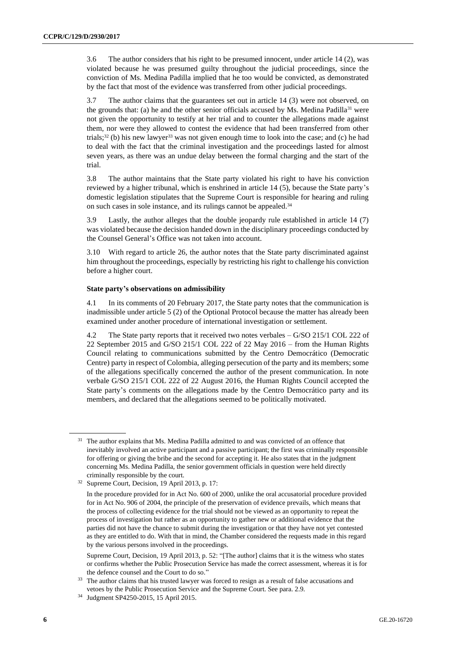3.6 The author considers that his right to be presumed innocent, under article 14 (2), was violated because he was presumed guilty throughout the judicial proceedings, since the conviction of Ms. Medina Padilla implied that he too would be convicted, as demonstrated by the fact that most of the evidence was transferred from other judicial proceedings.

3.7 The author claims that the guarantees set out in article 14 (3) were not observed, on the grounds that: (a) he and the other senior officials accused by Ms. Medina Padilla<sup>31</sup> were not given the opportunity to testify at her trial and to counter the allegations made against them, nor were they allowed to contest the evidence that had been transferred from other trials;<sup>32</sup> (b) his new lawyer<sup>33</sup> was not given enough time to look into the case; and (c) he had to deal with the fact that the criminal investigation and the proceedings lasted for almost seven years, as there was an undue delay between the formal charging and the start of the trial.

3.8 The author maintains that the State party violated his right to have his conviction reviewed by a higher tribunal, which is enshrined in article 14 (5), because the State party's domestic legislation stipulates that the Supreme Court is responsible for hearing and ruling on such cases in sole instance, and its rulings cannot be appealed.<sup>34</sup>

3.9 Lastly, the author alleges that the double jeopardy rule established in article 14 (7) was violated because the decision handed down in the disciplinary proceedings conducted by the Counsel General's Office was not taken into account.

3.10 With regard to article 26, the author notes that the State party discriminated against him throughout the proceedings, especially by restricting his right to challenge his conviction before a higher court.

# **State party's observations on admissibility**

4.1 In its comments of 20 February 2017, the State party notes that the communication is inadmissible under article 5 (2) of the Optional Protocol because the matter has already been examined under another procedure of international investigation or settlement.

4.2 The State party reports that it received two notes verbales – G/SO 215/1 COL 222 of 22 September 2015 and G/SO 215/1 COL 222 of 22 May 2016 – from the Human Rights Council relating to communications submitted by the Centro Democrático (Democratic Centre) party in respect of Colombia, alleging persecution of the party and its members; some of the allegations specifically concerned the author of the present communication. In note verbale G/SO 215/1 COL 222 of 22 August 2016, the Human Rights Council accepted the State party's comments on the allegations made by the Centro Democrático party and its members, and declared that the allegations seemed to be politically motivated.

<sup>&</sup>lt;sup>31</sup> The author explains that Ms. Medina Padilla admitted to and was convicted of an offence that inevitably involved an active participant and a passive participant; the first was criminally responsible for offering or giving the bribe and the second for accepting it. He also states that in the judgment concerning Ms. Medina Padilla, the senior government officials in question were held directly criminally responsible by the court.

<sup>32</sup> Supreme Court, Decision, 19 April 2013, p. 17:

In the procedure provided for in Act No. 600 of 2000, unlike the oral accusatorial procedure provided for in Act No. 906 of 2004, the principle of the preservation of evidence prevails, which means that the process of collecting evidence for the trial should not be viewed as an opportunity to repeat the process of investigation but rather as an opportunity to gather new or additional evidence that the parties did not have the chance to submit during the investigation or that they have not yet contested as they are entitled to do. With that in mind, the Chamber considered the requests made in this regard by the various persons involved in the proceedings.

Supreme Court, Decision, 19 April 2013, p. 52: "[The author] claims that it is the witness who states or confirms whether the Public Prosecution Service has made the correct assessment, whereas it is for the defence counsel and the Court to do so."

<sup>&</sup>lt;sup>33</sup> The author claims that his trusted lawyer was forced to resign as a result of false accusations and vetoes by the Public Prosecution Service and the Supreme Court. See para. 2.9.

<sup>34</sup> Judgment SP4250-2015, 15 April 2015.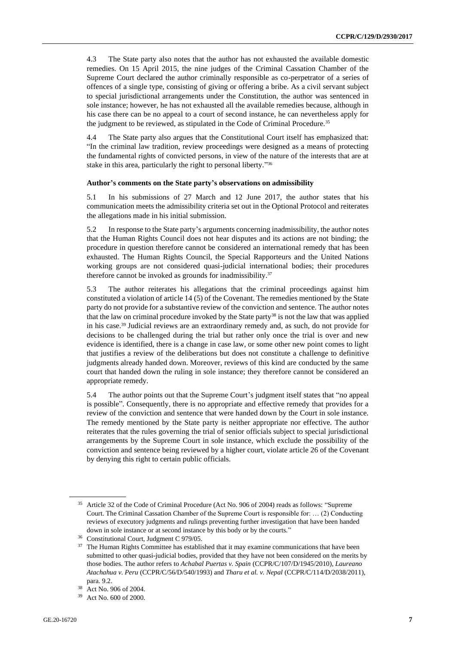4.3 The State party also notes that the author has not exhausted the available domestic remedies. On 15 April 2015, the nine judges of the Criminal Cassation Chamber of the Supreme Court declared the author criminally responsible as co-perpetrator of a series of offences of a single type, consisting of giving or offering a bribe. As a civil servant subject to special jurisdictional arrangements under the Constitution, the author was sentenced in sole instance; however, he has not exhausted all the available remedies because, although in his case there can be no appeal to a court of second instance, he can nevertheless apply for the judgment to be reviewed, as stipulated in the Code of Criminal Procedure.<sup>35</sup>

4.4 The State party also argues that the Constitutional Court itself has emphasized that: "In the criminal law tradition, review proceedings were designed as a means of protecting the fundamental rights of convicted persons, in view of the nature of the interests that are at stake in this area, particularly the right to personal liberty."<sup>36</sup>

#### **Author's comments on the State party's observations on admissibility**

5.1 In his submissions of 27 March and 12 June 2017, the author states that his communication meets the admissibility criteria set out in the Optional Protocol and reiterates the allegations made in his initial submission.

5.2 In response to the State party's arguments concerning inadmissibility, the author notes that the Human Rights Council does not hear disputes and its actions are not binding; the procedure in question therefore cannot be considered an international remedy that has been exhausted. The Human Rights Council, the Special Rapporteurs and the United Nations working groups are not considered quasi-judicial international bodies; their procedures therefore cannot be invoked as grounds for inadmissibility.<sup>37</sup>

5.3 The author reiterates his allegations that the criminal proceedings against him constituted a violation of article 14 (5) of the Covenant. The remedies mentioned by the State party do not provide for a substantive review of the conviction and sentence. The author notes that the law on criminal procedure invoked by the State party<sup>38</sup> is not the law that was applied in his case.<sup>39</sup> Judicial reviews are an extraordinary remedy and, as such, do not provide for decisions to be challenged during the trial but rather only once the trial is over and new evidence is identified, there is a change in case law, or some other new point comes to light that justifies a review of the deliberations but does not constitute a challenge to definitive judgments already handed down. Moreover, reviews of this kind are conducted by the same court that handed down the ruling in sole instance; they therefore cannot be considered an appropriate remedy.

5.4 The author points out that the Supreme Court's judgment itself states that "no appeal is possible". Consequently, there is no appropriate and effective remedy that provides for a review of the conviction and sentence that were handed down by the Court in sole instance. The remedy mentioned by the State party is neither appropriate nor effective. The author reiterates that the rules governing the trial of senior officials subject to special jurisdictional arrangements by the Supreme Court in sole instance, which exclude the possibility of the conviction and sentence being reviewed by a higher court, violate article 26 of the Covenant by denying this right to certain public officials.

<sup>35</sup> Article 32 of the Code of Criminal Procedure (Act No. 906 of 2004) reads as follows: "Supreme Court. The Criminal Cassation Chamber of the Supreme Court is responsible for: … (2) Conducting reviews of executory judgments and rulings preventing further investigation that have been handed down in sole instance or at second instance by this body or by the courts."

<sup>36</sup> Constitutional Court, Judgment C 979/05.

<sup>&</sup>lt;sup>37</sup> The Human Rights Committee has established that it may examine communications that have been submitted to other quasi-judicial bodies, provided that they have not been considered on the merits by those bodies. The author refers to *Achabal Puertas v. Spain* (CCPR/C/107/D/1945/2010), *Laureano Atachahua v. Peru* (CCPR/C/56/D/540/1993) and *Tharu et al. v. Nepal* (CCPR/C/114/D/2038/2011), para. 9.2.

<sup>38</sup> Act No. 906 of 2004.

<sup>39</sup> Act No. 600 of 2000.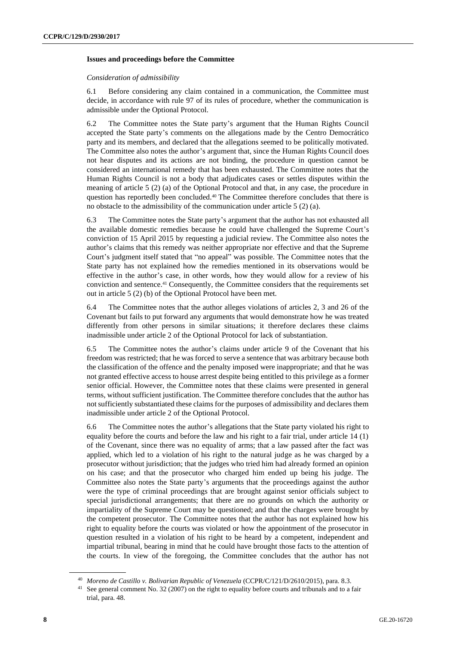### **Issues and proceedings before the Committee**

### *Consideration of admissibility*

6.1 Before considering any claim contained in a communication, the Committee must decide, in accordance with rule 97 of its rules of procedure, whether the communication is admissible under the Optional Protocol.

6.2 The Committee notes the State party's argument that the Human Rights Council accepted the State party's comments on the allegations made by the Centro Democrático party and its members, and declared that the allegations seemed to be politically motivated. The Committee also notes the author's argument that, since the Human Rights Council does not hear disputes and its actions are not binding, the procedure in question cannot be considered an international remedy that has been exhausted. The Committee notes that the Human Rights Council is not a body that adjudicates cases or settles disputes within the meaning of article 5 (2) (a) of the Optional Protocol and that, in any case, the procedure in question has reportedly been concluded.<sup>40</sup> The Committee therefore concludes that there is no obstacle to the admissibility of the communication under article 5 (2) (a).

6.3 The Committee notes the State party's argument that the author has not exhausted all the available domestic remedies because he could have challenged the Supreme Court's conviction of 15 April 2015 by requesting a judicial review. The Committee also notes the author's claims that this remedy was neither appropriate nor effective and that the Supreme Court's judgment itself stated that "no appeal" was possible. The Committee notes that the State party has not explained how the remedies mentioned in its observations would be effective in the author's case, in other words, how they would allow for a review of his conviction and sentence.<sup>41</sup> Consequently, the Committee considers that the requirements set out in article 5 (2) (b) of the Optional Protocol have been met.

6.4 The Committee notes that the author alleges violations of articles 2, 3 and 26 of the Covenant but fails to put forward any arguments that would demonstrate how he was treated differently from other persons in similar situations; it therefore declares these claims inadmissible under article 2 of the Optional Protocol for lack of substantiation.

6.5 The Committee notes the author's claims under article 9 of the Covenant that his freedom was restricted; that he was forced to serve a sentence that was arbitrary because both the classification of the offence and the penalty imposed were inappropriate; and that he was not granted effective access to house arrest despite being entitled to this privilege as a former senior official. However, the Committee notes that these claims were presented in general terms, without sufficient justification. The Committee therefore concludes that the author has not sufficiently substantiated these claims for the purposes of admissibility and declares them inadmissible under article 2 of the Optional Protocol.

6.6 The Committee notes the author's allegations that the State party violated his right to equality before the courts and before the law and his right to a fair trial, under article 14 (1) of the Covenant, since there was no equality of arms; that a law passed after the fact was applied, which led to a violation of his right to the natural judge as he was charged by a prosecutor without jurisdiction; that the judges who tried him had already formed an opinion on his case; and that the prosecutor who charged him ended up being his judge. The Committee also notes the State party's arguments that the proceedings against the author were the type of criminal proceedings that are brought against senior officials subject to special jurisdictional arrangements; that there are no grounds on which the authority or impartiality of the Supreme Court may be questioned; and that the charges were brought by the competent prosecutor. The Committee notes that the author has not explained how his right to equality before the courts was violated or how the appointment of the prosecutor in question resulted in a violation of his right to be heard by a competent, independent and impartial tribunal, bearing in mind that he could have brought those facts to the attention of the courts. In view of the foregoing, the Committee concludes that the author has not

<sup>40</sup> *Moreno de Castillo v. Bolivarian Republic of Venezuela* (CCPR/C/121/D/2610/2015), para. 8.3.

<sup>&</sup>lt;sup>41</sup> See general comment No. 32 (2007) on the right to equality before courts and tribunals and to a fair trial, para. 48.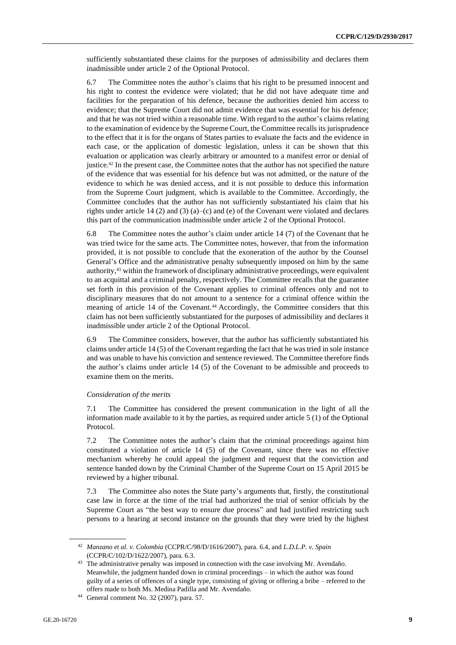sufficiently substantiated these claims for the purposes of admissibility and declares them inadmissible under article 2 of the Optional Protocol.

6.7 The Committee notes the author's claims that his right to be presumed innocent and his right to contest the evidence were violated; that he did not have adequate time and facilities for the preparation of his defence, because the authorities denied him access to evidence; that the Supreme Court did not admit evidence that was essential for his defence; and that he was not tried within a reasonable time. With regard to the author's claims relating to the examination of evidence by the Supreme Court, the Committee recalls its jurisprudence to the effect that it is for the organs of States parties to evaluate the facts and the evidence in each case, or the application of domestic legislation, unless it can be shown that this evaluation or application was clearly arbitrary or amounted to a manifest error or denial of justice.<sup>42</sup> In the present case, the Committee notes that the author has not specified the nature of the evidence that was essential for his defence but was not admitted, or the nature of the evidence to which he was denied access, and it is not possible to deduce this information from the Supreme Court judgment, which is available to the Committee. Accordingly, the Committee concludes that the author has not sufficiently substantiated his claim that his rights under article 14 (2) and (3) (a)–(c) and (e) of the Covenant were violated and declares this part of the communication inadmissible under article 2 of the Optional Protocol.

6.8 The Committee notes the author's claim under article 14 (7) of the Covenant that he was tried twice for the same acts. The Committee notes, however, that from the information provided, it is not possible to conclude that the exoneration of the author by the Counsel General's Office and the administrative penalty subsequently imposed on him by the same authority,<sup>43</sup> within the framework of disciplinary administrative proceedings, were equivalent to an acquittal and a criminal penalty, respectively. The Committee recalls that the guarantee set forth in this provision of the Covenant applies to criminal offences only and not to disciplinary measures that do not amount to a sentence for a criminal offence within the meaning of article 14 of the Covenant.<sup>44</sup> Accordingly, the Committee considers that this claim has not been sufficiently substantiated for the purposes of admissibility and declares it inadmissible under article 2 of the Optional Protocol.

6.9 The Committee considers, however, that the author has sufficiently substantiated his claims under article 14 (5) of the Covenant regarding the fact that he was tried in sole instance and was unable to have his conviction and sentence reviewed. The Committee therefore finds the author's claims under article 14 (5) of the Covenant to be admissible and proceeds to examine them on the merits.

### *Consideration of the merits*

7.1 The Committee has considered the present communication in the light of all the information made available to it by the parties, as required under article 5 (1) of the Optional Protocol.

7.2 The Committee notes the author's claim that the criminal proceedings against him constituted a violation of article 14 (5) of the Covenant, since there was no effective mechanism whereby he could appeal the judgment and request that the conviction and sentence handed down by the Criminal Chamber of the Supreme Court on 15 April 2015 be reviewed by a higher tribunal.

7.3 The Committee also notes the State party's arguments that, firstly, the constitutional case law in force at the time of the trial had authorized the trial of senior officials by the Supreme Court as "the best way to ensure due process" and had justified restricting such persons to a hearing at second instance on the grounds that they were tried by the highest

<sup>42</sup> *Manzano et al. v. Colombia* (CCPR/C/98/D/1616/2007), para. 6.4, and *L.D.L.P. v. Spain* (CCPR/C/102/D/1622/2007), para. 6.3.

<sup>&</sup>lt;sup>43</sup> The administrative penalty was imposed in connection with the case involving Mr. Avendaño. Meanwhile, the judgment handed down in criminal proceedings – in which the author was found guilty of a series of offences of a single type, consisting of giving or offering a bribe – referred to the offers made to both Ms. Medina Padilla and Mr. Avendaño.

<sup>44</sup> General comment No. 32 (2007), para. 57.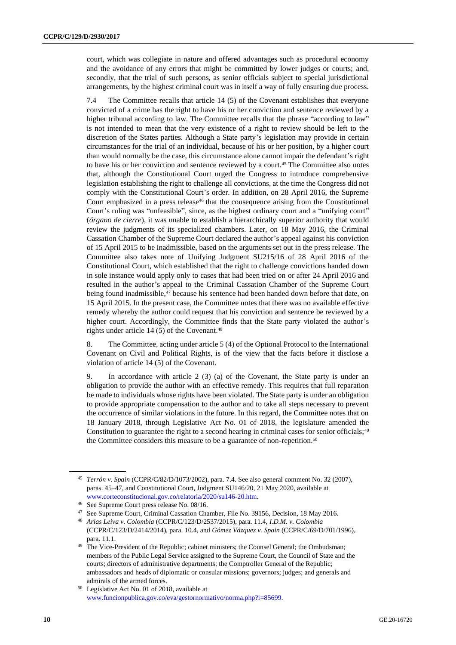court, which was collegiate in nature and offered advantages such as procedural economy and the avoidance of any errors that might be committed by lower judges or courts; and, secondly, that the trial of such persons, as senior officials subject to special jurisdictional arrangements, by the highest criminal court was in itself a way of fully ensuring due process.

7.4 The Committee recalls that article 14 (5) of the Covenant establishes that everyone convicted of a crime has the right to have his or her conviction and sentence reviewed by a higher tribunal according to law. The Committee recalls that the phrase "according to law" is not intended to mean that the very existence of a right to review should be left to the discretion of the States parties. Although a State party's legislation may provide in certain circumstances for the trial of an individual, because of his or her position, by a higher court than would normally be the case, this circumstance alone cannot impair the defendant's right to have his or her conviction and sentence reviewed by a court.<sup>45</sup> The Committee also notes that, although the Constitutional Court urged the Congress to introduce comprehensive legislation establishing the right to challenge all convictions, at the time the Congress did not comply with the Constitutional Court's order. In addition, on 28 April 2016, the Supreme Court emphasized in a press release<sup>46</sup> that the consequence arising from the Constitutional Court's ruling was "unfeasible", since, as the highest ordinary court and a "unifying court" (*órgano de cierre*), it was unable to establish a hierarchically superior authority that would review the judgments of its specialized chambers. Later, on 18 May 2016, the Criminal Cassation Chamber of the Supreme Court declared the author's appeal against his conviction of 15 April 2015 to be inadmissible, based on the arguments set out in the press release. The Committee also takes note of Unifying Judgment SU215/16 of 28 April 2016 of the Constitutional Court, which established that the right to challenge convictions handed down in sole instance would apply only to cases that had been tried on or after 24 April 2016 and resulted in the author's appeal to the Criminal Cassation Chamber of the Supreme Court being found inadmissible, $47$  because his sentence had been handed down before that date, on 15 April 2015. In the present case, the Committee notes that there was no available effective remedy whereby the author could request that his conviction and sentence be reviewed by a higher court. Accordingly, the Committee finds that the State party violated the author's rights under article 14 (5) of the Covenant.<sup>48</sup>

8. The Committee, acting under article 5 (4) of the Optional Protocol to the International Covenant on Civil and Political Rights, is of the view that the facts before it disclose a violation of article 14 (5) of the Covenant.

9. In accordance with article 2 (3) (a) of the Covenant, the State party is under an obligation to provide the author with an effective remedy. This requires that full reparation be made to individuals whose rights have been violated. The State party is under an obligation to provide appropriate compensation to the author and to take all steps necessary to prevent the occurrence of similar violations in the future. In this regard, the Committee notes that on 18 January 2018, through Legislative Act No. 01 of 2018, the legislature amended the Constitution to guarantee the right to a second hearing in criminal cases for senior officials;<sup>49</sup> the Committee considers this measure to be a guarantee of non-repetition.<sup>50</sup>

<sup>45</sup> *Terrón v. Spain* (CCPR/C/82/D/1073/2002), para. 7.4. See also general comment No. 32 (2007), paras. 45–47, and Constitutional Court, Judgment SU146/20, 21 May 2020, available at [www.corteconstitucional.gov.co/relatoria/2020/su146-20.htm.](http://www.corteconstitucional.gov.co/relatoria/2020/su146-20.htm)

<sup>46</sup> See Supreme Court press release No. 08/16.

<sup>47</sup> See Supreme Court, Criminal Cassation Chamber, File No. 39156, Decision, 18 May 2016.

<sup>48</sup> *Arias Leiva v. Colombia* (CCPR/C/123/D/2537/2015), para. 11.4, *I.D.M. v. Colombia* (CCPR/C/123/D/2414/2014), para. 10.4, and *Gómez Vázquez v. Spain* (CCPR/C/69/D/701/1996), para. 11.1.

<sup>&</sup>lt;sup>49</sup> The Vice-President of the Republic; cabinet ministers; the Counsel General; the Ombudsman; members of the Public Legal Service assigned to the Supreme Court, the Council of State and the courts; directors of administrative departments; the Comptroller General of the Republic; ambassadors and heads of diplomatic or consular missions; governors; judges; and generals and admirals of the armed forces.

<sup>50</sup> Legislative Act No. 01 of 2018, available at [www.funcionpublica.gov.co/eva/gestornormativo/norma.php?i=85699.](http://www.funcionpublica.gov.co/eva/gestornormativo/norma.php?i=85699)